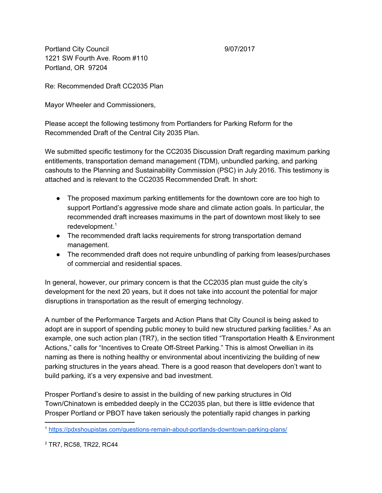Portland City Council 9/07/2017 1221 SW Fourth Ave. Room #110 Portland, OR 97204

Re: Recommended Draft CC2035 Plan

Mayor Wheeler and Commissioners,

Please accept the following testimony from Portlanders for Parking Reform for the Recommended Draft of the Central City 2035 Plan.

We submitted specific testimony for the CC2035 Discussion Draft regarding maximum parking entitlements, transportation demand management (TDM), unbundled parking, and parking cashouts to the Planning and Sustainability Commission (PSC) in July 2016. This testimony is attached and is relevant to the CC2035 Recommended Draft. In short:

- The proposed maximum parking entitlements for the downtown core are too high to support Portland's aggressive mode share and climate action goals. In particular, the recommended draft increases maximums in the part of downtown most likely to see redevelopment. 1
- The recommended draft lacks requirements for strong transportation demand management.
- The recommended draft does not require unbundling of parking from leases/purchases of commercial and residential spaces.

In general, however, our primary concern is that the CC2035 plan must guide the city's development for the next 20 years, but it does not take into account the potential for major disruptions in transportation as the result of emerging technology.

A number of the Performance Targets and Action Plans that City Council is being asked to adopt are in support of spending public money to build new structured parking facilities.<sup>2</sup> As an example, one such action plan (TR7), in the section titled "Transportation Health & Environment Actions," calls for "Incentives to Create Off-Street Parking." This is almost Orwellian in its naming as there is nothing healthy or environmental about incentivizing the building of new parking structures in the years ahead. There is a good reason that developers don't want to build parking, it's a very expensive and bad investment.

Prosper Portland's desire to assist in the building of new parking structures in Old Town/Chinatown is embedded deeply in the CC2035 plan, but there is little evidence that Prosper Portland or PBOT have taken seriously the potentially rapid changes in parking

<sup>1</sup> <https://pdxshoupistas.com/questions-remain-about-portlands-downtown-parking-plans/>

<sup>2</sup> TR7, RC58, TR22, RC44